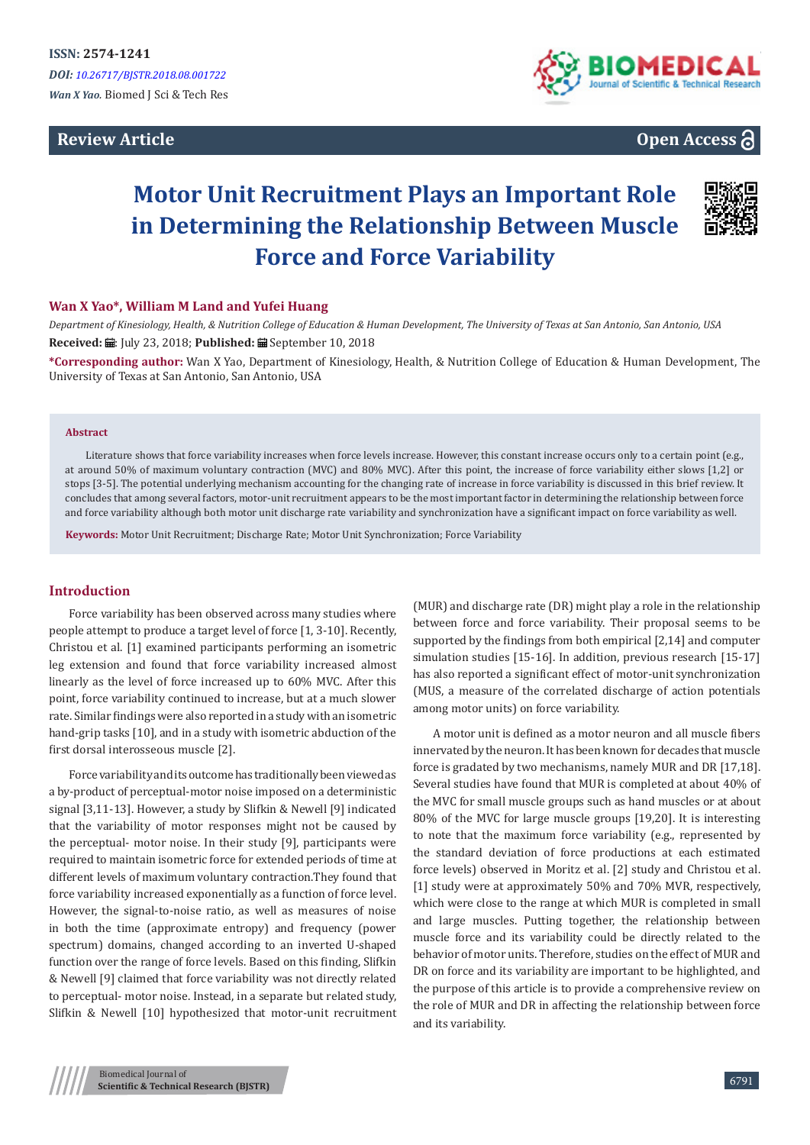## **Review Article**



# **Open Access**

# **Motor Unit Recruitment Plays an Important Role in Determining the Relationship Between Muscle Force and Force Variability**



### **Wan X Yao\*, William M Land and Yufei Huang**

*Department of Kinesiology, Health, & Nutrition College of Education & Human Development, The University of Texas at San Antonio, San Antonio, USA* **Received: H**: July 23, 2018: **Published: H** September 10, 2018

**\*Corresponding author:** Wan X Yao, Department of Kinesiology, Health, & Nutrition College of Education & Human Development, The University of Texas at San Antonio, San Antonio, USA

#### **Abstract**

Literature shows that force variability increases when force levels increase. However, this constant increase occurs only to a certain point (e.g., at around 50% of maximum voluntary contraction (MVC) and 80% MVC). After this point, the increase of force variability either slows [1,2] or stops [3-5]. The potential underlying mechanism accounting for the changing rate of increase in force variability is discussed in this brief review. It concludes that among several factors, motor-unit recruitment appears to be the most important factor in determining the relationship between force and force variability although both motor unit discharge rate variability and synchronization have a significant impact on force variability as well.

**Keywords:** Motor Unit Recruitment; Discharge Rate; Motor Unit Synchronization; Force Variability

#### **Introduction**

Force variability has been observed across many studies where people attempt to produce a target level of force [1, 3-10]. Recently, Christou et al. [1] examined participants performing an isometric leg extension and found that force variability increased almost linearly as the level of force increased up to 60% MVC. After this point, force variability continued to increase, but at a much slower rate. Similar findings were also reported in a study with an isometric hand-grip tasks [10], and in a study with isometric abduction of the first dorsal interosseous muscle [2].

Force variability and its outcome has traditionally been viewed as a by-product of perceptual-motor noise imposed on a deterministic signal [3,11-13]. However, a study by Slifkin & Newell [9] indicated that the variability of motor responses might not be caused by the perceptual- motor noise. In their study [9], participants were required to maintain isometric force for extended periods of time at different levels of maximum voluntary contraction.They found that force variability increased exponentially as a function of force level. However, the signal-to-noise ratio, as well as measures of noise in both the time (approximate entropy) and frequency (power spectrum) domains, changed according to an inverted U-shaped function over the range of force levels. Based on this finding, Slifkin & Newell [9] claimed that force variability was not directly related to perceptual- motor noise. Instead, in a separate but related study, Slifkin & Newell [10] hypothesized that motor-unit recruitment (MUR) and discharge rate (DR) might play a role in the relationship between force and force variability. Their proposal seems to be supported by the findings from both empirical [2,14] and computer simulation studies [15-16]. In addition, previous research [15-17] has also reported a significant effect of motor-unit synchronization (MUS, a measure of the correlated discharge of action potentials among motor units) on force variability.

A motor unit is defined as a motor neuron and all muscle fibers innervated by the neuron. It has been known for decades that muscle force is gradated by two mechanisms, namely MUR and DR [17,18]. Several studies have found that MUR is completed at about 40% of the MVC for small muscle groups such as hand muscles or at about 80% of the MVC for large muscle groups [19,20]. It is interesting to note that the maximum force variability (e.g., represented by the standard deviation of force productions at each estimated force levels) observed in Moritz et al. [2] study and Christou et al. [1] study were at approximately 50% and 70% MVR, respectively, which were close to the range at which MUR is completed in small and large muscles. Putting together, the relationship between muscle force and its variability could be directly related to the behavior of motor units. Therefore, studies on the effect of MUR and DR on force and its variability are important to be highlighted, and the purpose of this article is to provide a comprehensive review on the role of MUR and DR in affecting the relationship between force and its variability.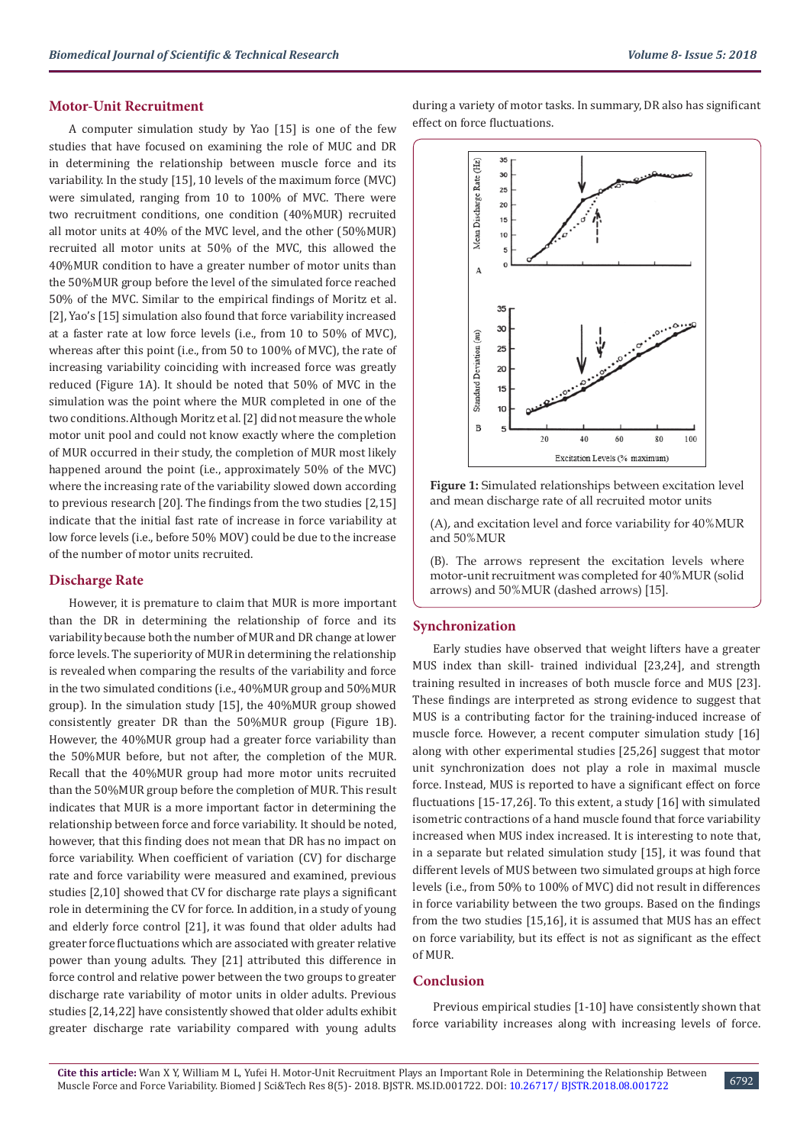#### **Motor-Unit Recruitment**

A computer simulation study by Yao [15] is one of the few studies that have focused on examining the role of MUC and DR in determining the relationship between muscle force and its variability. In the study [15], 10 levels of the maximum force (MVC) were simulated, ranging from 10 to 100% of MVC. There were two recruitment conditions, one condition (40%MUR) recruited all motor units at 40% of the MVC level, and the other (50%MUR) recruited all motor units at 50% of the MVC, this allowed the 40%MUR condition to have a greater number of motor units than the 50%MUR group before the level of the simulated force reached 50% of the MVC. Similar to the empirical findings of Moritz et al. [2], Yao's [15] simulation also found that force variability increased at a faster rate at low force levels (i.e., from 10 to 50% of MVC), whereas after this point (i.e., from 50 to 100% of MVC), the rate of increasing variability coinciding with increased force was greatly reduced (Figure 1A). It should be noted that 50% of MVC in the simulation was the point where the MUR completed in one of the two conditions. Although Moritz et al. [2] did not measure the whole motor unit pool and could not know exactly where the completion of MUR occurred in their study, the completion of MUR most likely happened around the point (i.e., approximately 50% of the MVC) where the increasing rate of the variability slowed down according to previous research [20]. The findings from the two studies [2,15] indicate that the initial fast rate of increase in force variability at low force levels (i.e., before 50% MOV) could be due to the increase of the number of motor units recruited.

#### **Discharge Rate**

However, it is premature to claim that MUR is more important than the DR in determining the relationship of force and its variability because both the number of MUR and DR change at lower force levels. The superiority of MUR in determining the relationship is revealed when comparing the results of the variability and force in the two simulated conditions (i.e., 40%MUR group and 50%MUR group). In the simulation study [15], the 40%MUR group showed consistently greater DR than the 50%MUR group (Figure 1B). However, the 40%MUR group had a greater force variability than the 50%MUR before, but not after, the completion of the MUR. Recall that the 40%MUR group had more motor units recruited than the 50%MUR group before the completion of MUR. This result indicates that MUR is a more important factor in determining the relationship between force and force variability. It should be noted, however, that this finding does not mean that DR has no impact on force variability. When coefficient of variation (CV) for discharge rate and force variability were measured and examined, previous studies [2,10] showed that CV for discharge rate plays a significant role in determining the CV for force. In addition, in a study of young and elderly force control [21], it was found that older adults had greater force fluctuations which are associated with greater relative power than young adults. They [21] attributed this difference in force control and relative power between the two groups to greater discharge rate variability of motor units in older adults. Previous studies [2,14,22] have consistently showed that older adults exhibit greater discharge rate variability compared with young adults

during a variety of motor tasks. In summary, DR also has significant effect on force fluctuations.



**Figure 1:** Simulated relationships between excitation level and mean discharge rate of all recruited motor units

(A), and excitation level and force variability for 40%MUR and 50%MUR

(B). The arrows represent the excitation levels where motor-unit recruitment was completed for 40%MUR (solid arrows) and 50%MUR (dashed arrows) [15].

#### **Synchronization**

Early studies have observed that weight lifters have a greater MUS index than skill- trained individual [23,24], and strength training resulted in increases of both muscle force and MUS [23]. These findings are interpreted as strong evidence to suggest that MUS is a contributing factor for the training-induced increase of muscle force. However, a recent computer simulation study [16] along with other experimental studies [25,26] suggest that motor unit synchronization does not play a role in maximal muscle force. Instead, MUS is reported to have a significant effect on force fluctuations [15-17,26]. To this extent, a study [16] with simulated isometric contractions of a hand muscle found that force variability increased when MUS index increased. It is interesting to note that, in a separate but related simulation study [15], it was found that different levels of MUS between two simulated groups at high force levels (i.e., from 50% to 100% of MVC) did not result in differences in force variability between the two groups. Based on the findings from the two studies [15,16], it is assumed that MUS has an effect on force variability, but its effect is not as significant as the effect of MUR.

## **Conclusion**

Previous empirical studies [1-10] have consistently shown that force variability increases along with increasing levels of force.